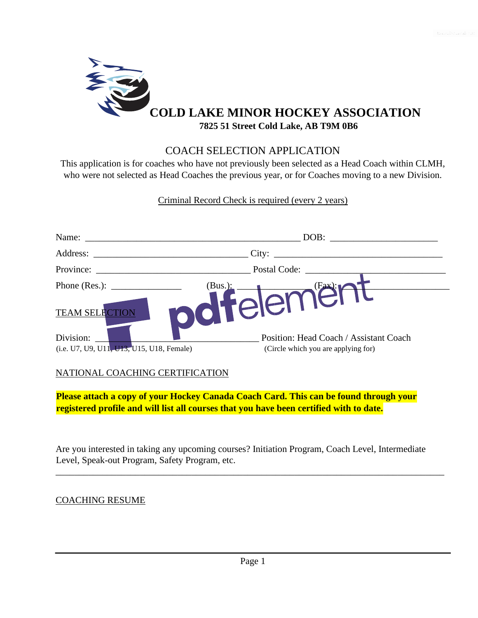

## COACH SELECTION APPLICATION

This application is for coaches who have not previously been selected as a Head Coach within CLMH, who were not selected as Head Coaches the previous year, or for Coaches moving to a new Division.

Criminal Record Check is required (every 2 years)

| Name:                                                                                        | DOB:                                                                          |  |
|----------------------------------------------------------------------------------------------|-------------------------------------------------------------------------------|--|
| Address:                                                                                     | City:                                                                         |  |
| Province:                                                                                    | Postal Code:                                                                  |  |
| Phone (Res.): $\_\_\_\_\_\_\_\_\_\_\_\_\_\_\_\_\_\_\_\_$<br>(Bus.):<br><b>TEAM SELECTION</b> | (Fax):r<br>-elem                                                              |  |
| Division:<br>(i.e. U7, U9, U11, U13, U15, U18, Female)                                       | Position: Head Coach / Assistant Coach<br>(Circle which you are applying for) |  |

## NATIONAL COACHING CERTIFICATION

**Please attach a copy of your Hockey Canada Coach Card. This can be found through your registered profile and will list all courses that you have been certified with to date.** 

Are you interested in taking any upcoming courses? Initiation Program, Coach Level, Intermediate Level, Speak-out Program, Safety Program, etc.

\_\_\_\_\_\_\_\_\_\_\_\_\_\_\_\_\_\_\_\_\_\_\_\_\_\_\_\_\_\_\_\_\_\_\_\_\_\_\_\_\_\_\_\_\_\_\_\_\_\_\_\_\_\_\_\_\_\_\_\_\_\_\_\_\_\_\_\_\_\_\_\_\_\_\_\_\_\_\_\_\_\_\_

## COACHING RESUME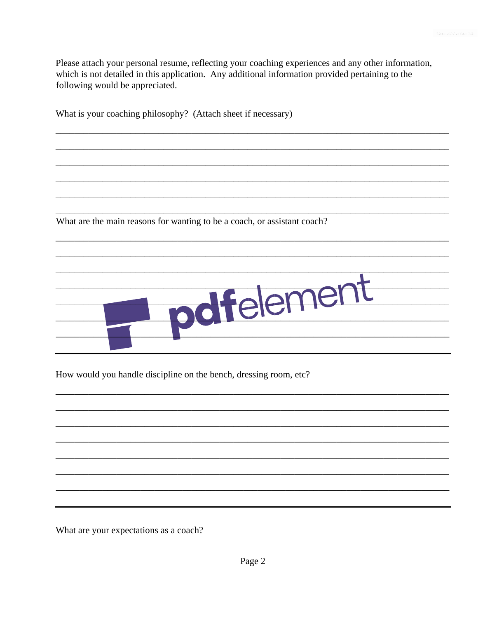Please attach your personal resume, reflecting your coaching experiences and any other information, which is not detailed in this application. Any additional information provided pertaining to the following would be appreciated.

| What is your coaching philosophy? (Attach sheet if necessary)            |
|--------------------------------------------------------------------------|
|                                                                          |
|                                                                          |
|                                                                          |
|                                                                          |
|                                                                          |
| What are the main reasons for wanting to be a coach, or assistant coach? |
|                                                                          |
|                                                                          |
|                                                                          |
|                                                                          |
|                                                                          |
|                                                                          |
|                                                                          |
|                                                                          |

How would you handle discipline on the bench, dressing room, etc?

What are your expectations as a coach?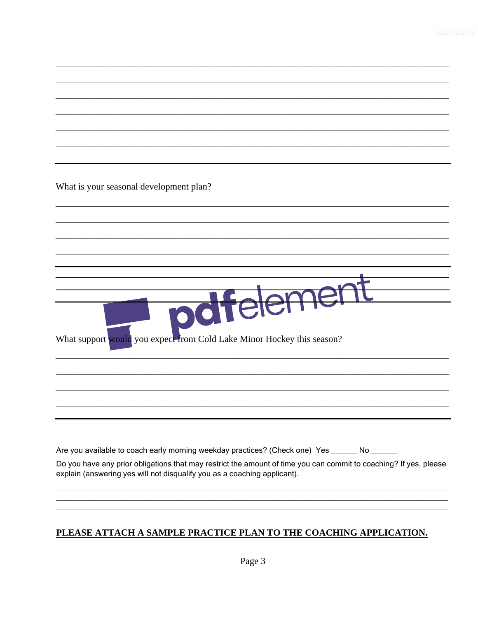What is your seasonal development plan? emer  $\Theta$ pot What support would you expect from Cold Lake Minor Hockey this season? Are you available to coach early morning weekday practices? (Check one) Yes \_\_\_\_\_\_ No \_\_\_\_\_\_ Do you have any prior obligations that may restrict the amount of time you can commit to coaching? If yes, please explain (answering yes will not disqualify you as a coaching applicant).

## PLEASE ATTACH A SAMPLE PRACTICE PLAN TO THE COACHING APPLICATION.

Page 3